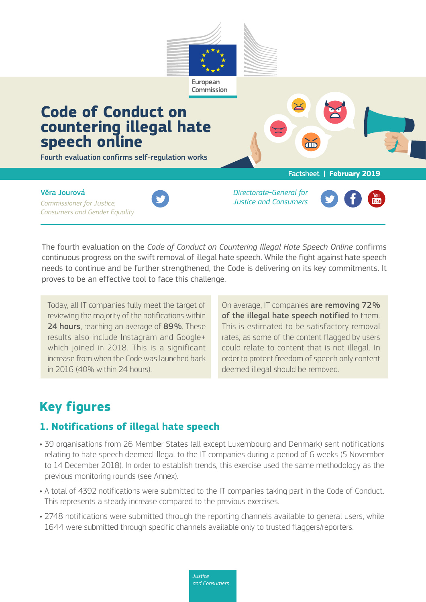

The fourth evaluation on the *Code of Conduct on Countering Illegal Hate Speech Online* confirms continuous progress on the swift removal of illegal hate speech. While the fight against hate speech needs to continue and be further strengthened, the Code is delivering on its key commitments. It proves to be an effective tool to face this challenge.

Today, all IT companies fully meet the target of reviewing the majority of the notifications within 24 hours, reaching an average of 89%. These results also include Instagram and Google+ which joined in 2018. This is a significant increase from when the Code was launched back in 2016 (40% within 24 hours).

On average, IT companies are removing 72% of the illegal hate speech notified to them. This is estimated to be satisfactory removal rates, as some of the content flagged by users could relate to content that is not illegal. In order to protect freedom of speech only content deemed illegal should be removed.

# **Key figures**

## **1. Notifications of illegal hate speech**

- 39 organisations from 26 Member States (all except Luxembourg and Denmark) sent notifications relating to hate speech deemed illegal to the IT companies during a period of 6 weeks (5 November to 14 December 2018). In order to establish trends, this exercise used the same methodology as the previous monitoring rounds (see Annex).
- A total of 4392 notifications were submitted to the IT companies taking part in the Code of Conduct. This represents a steady increase compared to the previous exercises.
- 2748 notifications were submitted through the reporting channels available to general users, while 1644 were submitted through specific channels available only to trusted flaggers/reporters.

*Justice and Consumers*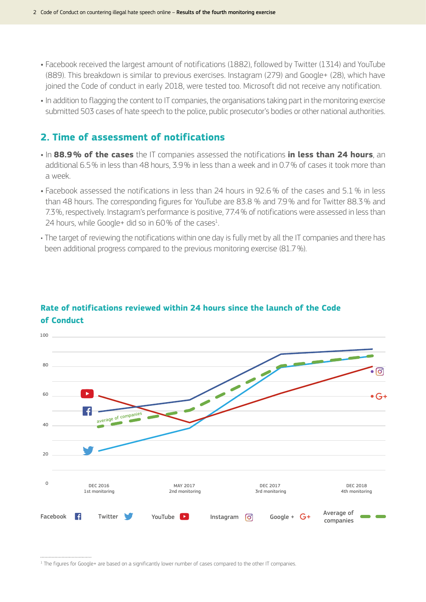- Facebook received the largest amount of notifications (1882), followed by Twitter (1314) and YouTube (889). This breakdown is similar to previous exercises. Instagram (279) and Google+ (28), which have joined the Code of conduct in early 2018, were tested too. Microsoft did not receive any notification.
- In addition to flagging the content to IT companies, the organisations taking part in the monitoring exercise submitted 503 cases of hate speech to the police, public prosecutor's bodies or other national authorities.

#### **2. Time of assessment of notifications**

- In **88.9 % of the cases** the IT companies assessed the notifications **in less than 24 hours**, an additional 6.5% in less than 48 hours, 3.9% in less than a week and in 0.7% of cases it took more than a week.
- Facebook assessed the notifications in less than 24 hours in 92.6% of the cases and 5.1% in less than 48 hours. The corresponding figures for YouTube are 83.8 % and 7.9% and for Twitter 88.3% and 7.3%, respectively. Instagram's performance is positive, 77.4% of notifications were assessed in less than 24 hours, while Google+ did so in  $60\%$  of the cases $1$ . .
- The target of reviewing the notifications within one day is fully met by all the IT companies and there has been additional progress compared to the previous monitoring exercise (81.7%).



#### **Rate of notifications reviewed within 24 hours since the launch of the Code of Conduct**

................................

<sup>&</sup>lt;sup>1</sup> The figures for Google+ are based on a significantly lower number of cases compared to the other IT companies.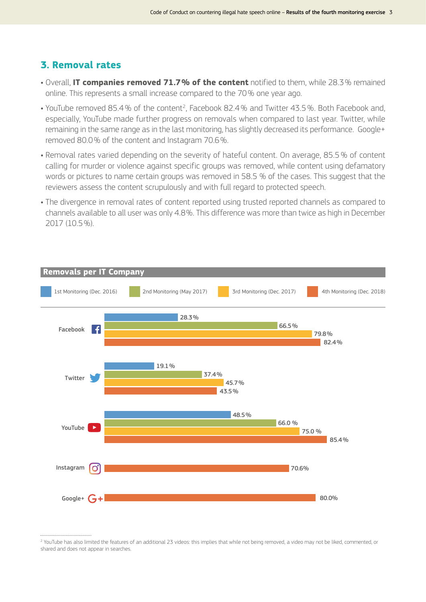### **3. Removal rates**

- Overall, **IT companies removed 71.7 % of the content** notified to them, while 28.3% remained online. This represents a small increase compared to the 70% one year ago.
- YouTube removed 85.4% of the content<sup>2</sup>, Facebook 82.4% and Twitter 43.5%. Both Facebook and, especially, YouTube made further progress on removals when compared to last year. Twitter, while remaining in the same range as in the last monitoring, has slightly decreased its performance. Google+ removed 80.0% of the content and Instagram 70.6%.
- Removal rates varied depending on the severity of hateful content. On average, 85.5% of content calling for murder or violence against specific groups was removed, while content using defamatory words or pictures to name certain groups was removed in 58.5 % of the cases. This suggest that the reviewers assess the content scrupulously and with full regard to protected speech.
- The divergence in removal rates of content reported using trusted reported channels as compared to channels available to all user was only 4.8%. This difference was more than twice as high in December 2017 (10.5%).



2 YouTube has also limited the features of an additional 23 videos: this implies that while not being removed, a video may not be liked, commented, or shared and does not appear in searches.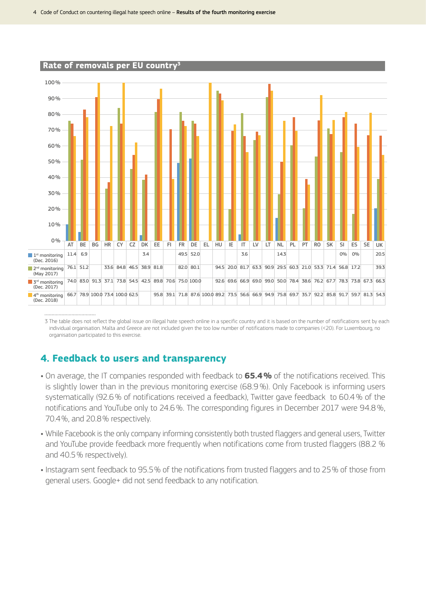

3 The table does not reflect the global issue on illegal hate speech online in a specific country and it is based on the number of notifications sent by each individual organisation. Malta and Greece are not included given the too low number of notifications made to companies (<20). For Luxembourg, no organisation participated to this exercise.

## **4. Feedback to users and transparency**

- On average, the IT companies responded with feedback to **65.4 %** of the notifications received. This is slightly lower than in the previous monitoring exercise (68.9%). Only Facebook is informing users systematically (92.6% of notifications received a feedback), Twitter gave feedback to 60.4% of the notifications and YouTube only to 24.6%. The corresponding figures in December 2017 were 94.8%, 70.4%, and 20.8% respectively.
- While Facebook is the only company informing consistently both trusted flaggers and general users, Twitter and YouTube provide feedback more frequently when notifications come from trusted flaggers (88.2 % and 40.5% respectively).
- Instagram sent feedback to 95.5% of the notifications from trusted flaggers and to 25% of those from general users. Google+ did not send feedback to any notification.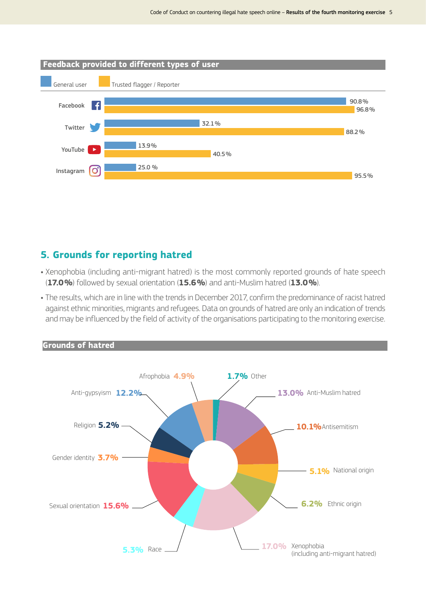

#### **5. Grounds for reporting hatred**

- Xenophobia (including anti-migrant hatred) is the most commonly reported grounds of hate speech (**17.0 %**) followed by sexual orientation (**15.6 %**) and anti-Muslim hatred (**13.0 %**).
- The results, which are in line with the trends in December 2017, confirm the predominance of racist hatred against ethnic minorities, migrants and refugees. Data on grounds of hatred are only an indication of trends and may be influenced by the field of activity of the organisations participating to the monitoring exercise.